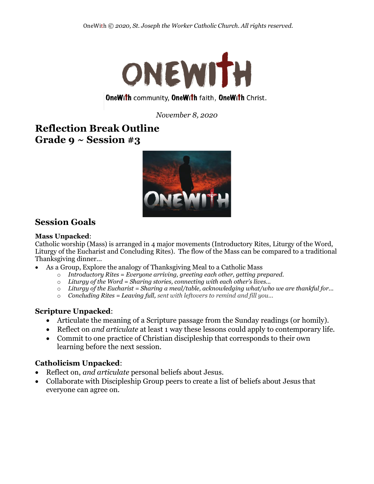

## **OneWith community, OneWith faith, OneWith Christ.**

*November 8, 2020*

# **Reflection Break Outline Grade 9 ~ Session #3**



## **Session Goals**

### **Mass Unpacked**:

Catholic worship (Mass) is arranged in 4 major movements (Introductory Rites, Liturgy of the Word, Liturgy of the Eucharist and Concluding Rites). The flow of the Mass can be compared to a traditional Thanksgiving dinner...

- As a Group, Explore the analogy of Thanksgiving Meal to a Catholic Mass
	- o *Introductory Rites = Everyone arriving, greeting each other, getting prepared.*
	- o *Liturgy of the Word = Sharing stories, connecting with each other's lives...*
	- o *Liturgy of the Eucharist = Sharing a meal/table, acknowledging what/who we are thankful for...*
	- o *Concluding Rites = Leaving full, sent with leftovers to remind and fill you...*

### **Scripture Unpacked**:

- Articulate the meaning of a Scripture passage from the Sunday readings (or homily).
- Reflect on *and articulate* at least 1 way these lessons could apply to contemporary life.
- Commit to one practice of Christian discipleship that corresponds to their own learning before the next session.

### **Catholicism Unpacked**:

- Reflect on, *and articulate* personal beliefs about Jesus.
- Collaborate with Discipleship Group peers to create a list of beliefs about Jesus that everyone can agree on.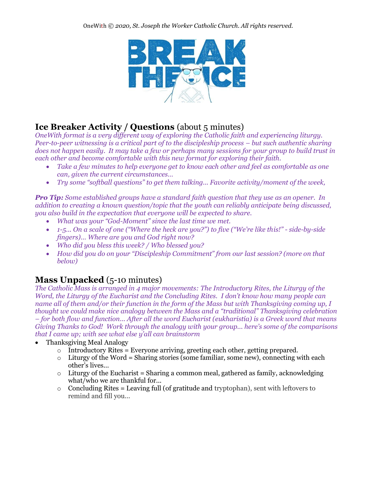

# **Ice Breaker Activity / Questions** (about 5 minutes)

*OneWith format is a very different way of exploring the Catholic faith and experiencing liturgy. Peer-to-peer witnessing is a critical part of to the discipleship process – but such authentic sharing does not happen easily. It may take a few or perhaps many sessions for your group to build trust in each other and become comfortable with this new format for exploring their faith.* 

- *Take a few minutes to help everyone get to know each other and feel as comfortable as one can, given the current circumstances…*
- *Try some "softball questions" to get them talking... Favorite activity/moment of the week,*

*Pro Tip: Some established groups have a standard faith question that they use as an opener. In addition to creating a known question/topic that the youth can reliably anticipate being discussed, you also build in the expectation that everyone will be expected to share.* 

- *What was your "God-Moment" since the last time we met.*
- *1-5... On a scale of one ("Where the heck are you?") to five ("We're like this!" side-by-side fingers)… Where are you and God right now?*
- *Who did you bless this week? / Who blessed you?*
- *How did you do on your "Discipleship Commitment" from our last session? (more on that below)*

# **Mass Unpacked** (5-10 minutes)

*The Catholic Mass is arranged in 4 major movements: The Introductory Rites, the Liturgy of the Word, the Liturgy of the Eucharist and the Concluding Rites. I don't know how many people can name all of them and/or their function in the form of the Mass but with Thanksgiving coming up, I thought we could make nice analogy between the Mass and a "traditional" Thanksgiving celebration – for both flow and function... After all the word Eucharist (eukharistía) is a Greek word that means Giving Thanks to God! Work through the analogy with your group... here's some of the comparisons that I came up; with see what else y'all can brainstorm*

- Thanksgiving Meal Analogy
	- $\circ$  Introductory Rites = Everyone arriving, greeting each other, getting prepared.
	- $\circ$  Liturgy of the Word = Sharing stories (some familiar, some new), connecting with each other's lives...
	- $\circ$  Liturgy of the Eucharist = Sharing a common meal, gathered as family, acknowledging what/who we are thankful for...
	- $\circ$  Concluding Rites = Leaving full (of gratitude and tryptophan), sent with leftovers to remind and fill you...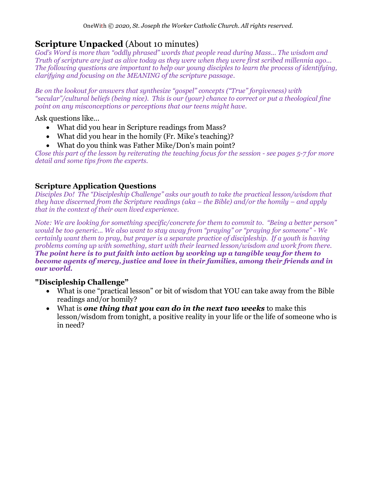# **Scripture Unpacked** (About 10 minutes)

*God's Word is more than "oddly phrased" words that people read during Mass... The wisdom and Truth of scripture are just as alive today as they were when they were first scribed millennia ago... The following questions are important to help our young disciples to learn the process of identifying, clarifying and focusing on the MEANING of the scripture passage.*

*Be on the lookout for answers that synthesize "gospel" concepts ("True" forgiveness) with "secular"/cultural beliefs (being nice). This is our (your) chance to correct or put a theological fine point on any misconceptions or perceptions that our teens might have.* 

Ask questions like...

- What did you hear in Scripture readings from Mass?
- What did you hear in the homily (Fr. Mike's teaching)?
- What do you think was Father Mike/Don's main point?

*Close this part of the lesson by reiterating the teaching focus for the session - see pages 5-7 for more detail and some tips from the experts.*

## **Scripture Application Questions**

*Disciples Do! The "Discipleship Challenge" asks our youth to take the practical lesson/wisdom that they have discerned from the Scripture readings (aka – the Bible) and/or the homily – and apply that in the context of their own lived experience.*

*Note: We are looking for something specific/concrete for them to commit to. "Being a better person" would be too generic... We also want to stay away from "praying" or "praying for someone" - We certainly want them to pray, but prayer is a separate practice of discipleship. If a youth is having problems coming up with something, start with their learned lesson/wisdom and work from there. The point here is to put faith into action by working up a tangible way for them to become agents of mercy, justice and love in their families, among their friends and in our world.*

### **"Discipleship Challenge"**

- What is one "practical lesson" or bit of wisdom that YOU can take away from the Bible readings and/or homily?
- What is *one thing that you can do in the next two weeks* to make this lesson/wisdom from tonight, a positive reality in your life or the life of someone who is in need?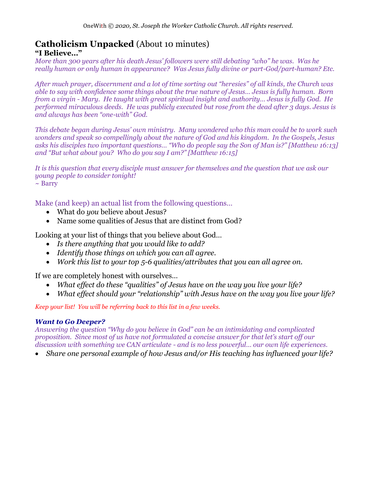#### **Catholicism Unpacked** (About 10 minutes) **"I Believe…"**

*More than 300 years after his death Jesus' followers were still debating "who" he was. Was he really human or only human in appearance? Was Jesus fully divine or part-God/part-human? Etc.*

*After much prayer, discernment and a lot of time sorting out "heresies" of all kinds, the Church was able to say with confidence some things about the true nature of Jesus… Jesus is fully human. Born from a virgin - Mary. He taught with great spiritual insight and authority… Jesus is fully God. He performed miraculous deeds. He was publicly executed but rose from the dead after 3 days. Jesus is and always has been "one-with" God.* 

*This debate began during Jesus' own ministry. Many wondered who this man could be to work such wonders and speak so compellingly about the nature of God and his kingdom. In the Gospels, Jesus asks his disciples two important questions… "Who do people say the Son of Man is?" [Matthew 16:13] and "But what about you? Who do you say I am?" [Matthew 16:15]*

*It is this question that every disciple must answer for themselves and the question that we ask our young people to consider tonight!*  $\sim$  Barry

Make (and keep) an actual list from the following questions…

- What do *you* believe about Jesus?
- Name some qualities of Jesus that are distinct from God?

Looking at your list of things that you believe about God…

- *Is there anything that you would like to add?*
- *Identify those things on which you can all agree.*
- *Work this list to your top 5-6 qualities/attributes that you can all agree on.*

If we are completely honest with ourselves…

- *What effect do these "qualities" of Jesus have on the way you live your life?*
- *What effect should your "relationship" with Jesus have on the way you live your life?*

*Keep your list! You will be referring back to this list in a few weeks.*

### *Want to Go Deeper?*

*Answering the question "Why do you believe in God" can be an intimidating and complicated proposition. Since most of us have not formulated a concise answer for that let's start off our discussion with something we CAN articulate - and is no less powerful… our own life experiences.*

• *Share one personal example of how Jesus and/or His teaching has influenced your life?*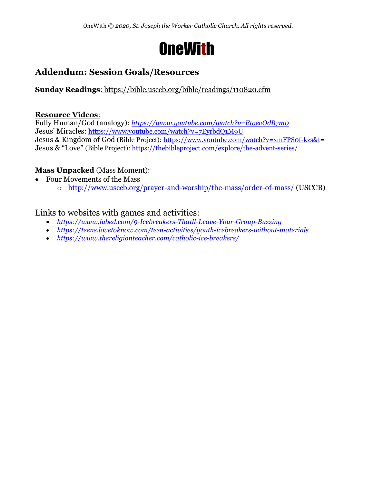

# **Addendum: Session Goals/Resources**

## **Sunday Readings**: <https://bible.usccb.org/bible/readings/110820.cfm>

### **Resource Videos**:

Fully Human/God (analogy): *https://www.youtube.com/watch?v=EtoevOdB7m0* Jesus' Miracles: <https://www.youtube.com/watch?v=7EyrbdQ1M9U> Jesus & Kingdom of God (Bible Project): [https://www.youtube.com/watch?v=xmFPS0f-kzs&t=](https://www.youtube.com/watch?v=xmFPS0f-kzs&t) Jesus & "Love" (Bible Project):<https://thebibleproject.com/explore/the-advent-series/>

## **Mass Unpacked** (Mass Moment):

- Four Movements of the Mass
	- o <http://www.usccb.org/prayer-and-worship/the-mass/order-of-mass/> (USCCB)

## Links to websites with games and activities:

- *<https://www.jubed.com/9-Icebreakers-Thatll-Leave-Your-Group-Buzzing>*
- *<https://teens.lovetoknow.com/teen-activities/youth-icebreakers-without-materials>*
- *<https://www.thereligionteacher.com/catholic-ice-breakers/>*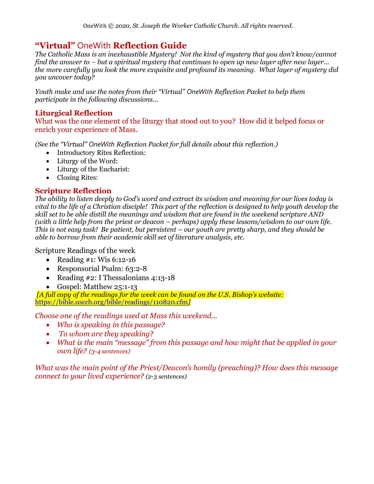## **"Virtual"** OneWith **Reflection Guide**

*The Catholic Mass is an inexhaustible Mystery! Not the kind of mystery that you don't know/cannot find the answer to – but a spiritual mystery that continues to open up new layer after new layer... the more carefully you look the more exquisite and profound its meaning. What layer of mystery did you uncover today?*

*Youth make and use the notes from their "Virtual" OneWith Reflection Packet to help them participate in the following discussions...*

### **Liturgical Reflection**

What was the one element of the liturgy that stood out to you? How did it helped focus or enrich your experience of Mass.

*(See the "Virtual" OneWith Reflection Packet for full details about this reflection.)*

- Introductory Rites Reflection:
- Liturgy of the Word:
- Liturgy of the Eucharist:
- Closing Rites:

### **Scripture Reflection**

*The ability to listen deeply to God's word and extract its wisdom and meaning for our lives today is vital to the life of a Christian disciple! This part of the reflection is designed to help youth develop the skill set to be able distill the meanings and wisdom that are found in the weekend scripture AND (with a little help from the priest or deacon – perhaps) apply these lessons/wisdom to our own life. This is not easy task! Be patient, but persistent – our youth are pretty sharp, and they should be able to borrow from their academic skill set of literature analysis, etc.*

Scripture Readings of the week

- Reading  $\#1$ : Wis 6:12-16
- Responsorial Psalm: 63:2-8
- Reading #2: I Thessalonians 4:13-18
- Gospel: Matthew 25:1-13

*[A full copy of the readings for the week can be found on the U.S. Bishop's website:* <https://bible.usccb.org/bible/readings/110820.cfm>*]*

*Choose one of the readings used at Mass this weekend...* 

- *Who is speaking in this passage?*
- *To whom are they speaking?*
- *What is the main "message" from this passage and how might that be applied in your own life? (3-4 sentences)*

*What was the main point of the Priest/Deacon's homily (preaching)? How does this message connect to your lived experience? (2-3 sentences)*